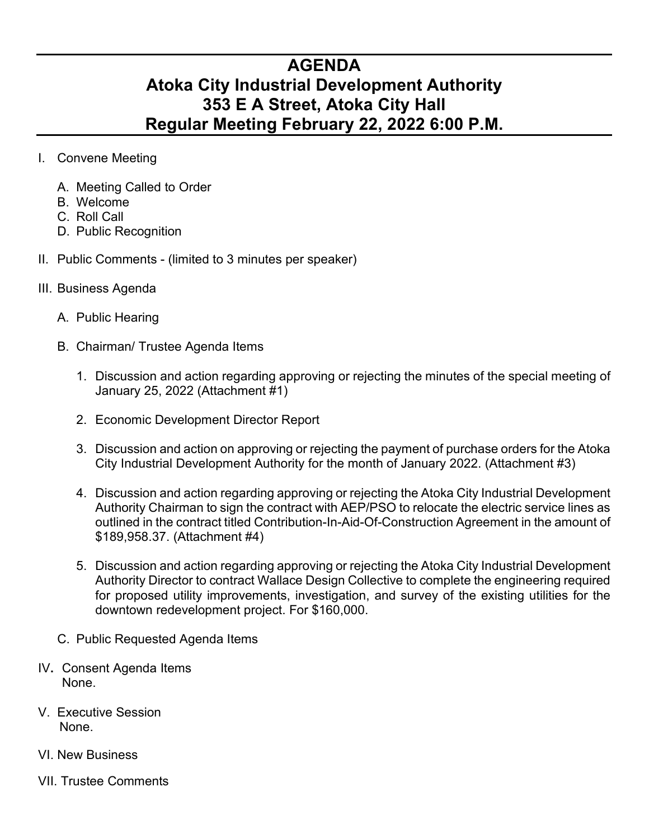## **AGENDA Atoka City Industrial Development Authority 353 E A Street, Atoka City Hall Regular Meeting February 22, 2022 6:00 P.M.**

- I. Convene Meeting
	- A. Meeting Called to Order
	- B. Welcome
	- C. Roll Call
	- D. Public Recognition
- II. Public Comments (limited to 3 minutes per speaker)
- III. Business Agenda
	- A. Public Hearing
	- B. Chairman/ Trustee Agenda Items
		- 1. Discussion and action regarding approving or rejecting the minutes of the special meeting of January 25, 2022 (Attachment #1)
		- 2. Economic Development Director Report
		- 3. Discussion and action on approving or rejecting the payment of purchase orders for the Atoka City Industrial Development Authority for the month of January 2022. (Attachment #3)
		- 4. Discussion and action regarding approving or rejecting the Atoka City Industrial Development Authority Chairman to sign the contract with AEP/PSO to relocate the electric service lines as outlined in the contract titled Contribution-In-Aid-Of-Construction Agreement in the amount of \$189,958.37. (Attachment #4)
		- 5. Discussion and action regarding approving or rejecting the Atoka City Industrial Development Authority Director to contract Wallace Design Collective to complete the engineering required for proposed utility improvements, investigation, and survey of the existing utilities for the downtown redevelopment project. For \$160,000.
	- C. Public Requested Agenda Items
- IV**.** Consent Agenda Items None.
- V. Executive Session None.
- VI. New Business
- VII. Trustee Comments